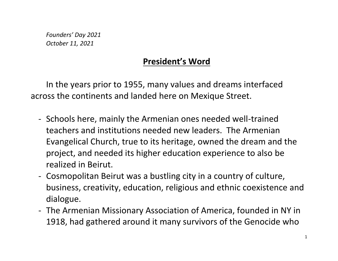*Founders' Day 2021 October 11, 2021*

## **President's Word**

In the years prior to 1955, many values and dreams interfaced across the continents and landed here on Mexique Street.

- Schools here, mainly the Armenian ones needed well-trained teachers and institutions needed new leaders. The Armenian Evangelical Church, true to its heritage, owned the dream and the project, and needed its higher education experience to also be realized in Beirut.
- Cosmopolitan Beirut was a bustling city in a country of culture, business, creativity, education, religious and ethnic coexistence and dialogue.
- The Armenian Missionary Association of America, founded in NY in 1918, had gathered around it many survivors of the Genocide who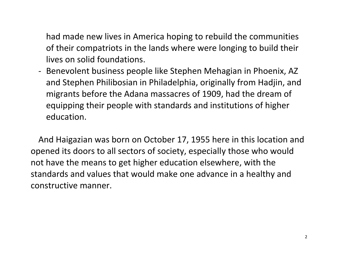had made new lives in America hoping to rebuild the communities of their compatriots in the lands where were longing to build their lives on solid foundations.

- Benevolent business people like Stephen Mehagian in Phoenix, AZ and Stephen Philibosian in Philadelphia, originally from Hadjin, and migrants before the Adana massacres of 1909, had the dream of equipping their people with standards and institutions of higher education.

And Haigazian was born on October 17, 1955 here in this location and opened its doors to all sectors of society, especially those who would not have the means to get higher education elsewhere, with the standards and values that would make one advance in a healthy and constructive manner.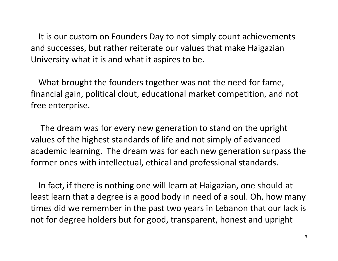It is our custom on Founders Day to not simply count achievements and successes, but rather reiterate our values that make Haigazian University what it is and what it aspires to be.

What brought the founders together was not the need for fame, financial gain, political clout, educational market competition, and not free enterprise.

The dream was for every new generation to stand on the upright values of the highest standards of life and not simply of advanced academic learning. The dream was for each new generation surpass the former ones with intellectual, ethical and professional standards.

In fact, if there is nothing one will learn at Haigazian, one should at least learn that a degree is a good body in need of a soul. Oh, how many times did we remember in the past two years in Lebanon that our lack is not for degree holders but for good, transparent, honest and upright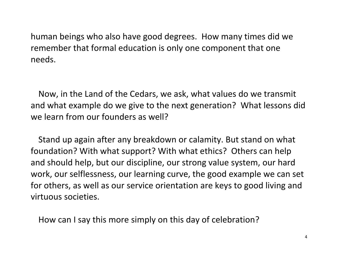human beings who also have good degrees. How many times did we remember that formal education is only one component that one needs.

Now, in the Land of the Cedars, we ask, what values do we transmit and what example do we give to the next generation? What lessons did we learn from our founders as well?

Stand up again after any breakdown or calamity. But stand on what foundation? With what support? With what ethics? Others can help and should help, but our discipline, our strong value system, our hard work, our selflessness, our learning curve, the good example we can set for others, as well as our service orientation are keys to good living and virtuous societies.

How can I say this more simply on this day of celebration?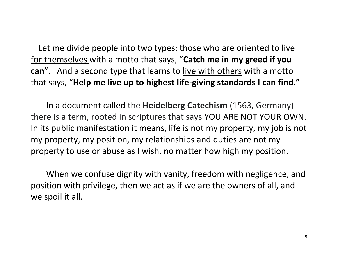Let me divide people into two types: those who are oriented to live for themselves with a motto that says, "**Catch me in my greed if you can**". And a second type that learns to live with others with a motto that says, "**Help me live up to highest life-giving standards I can find."**

In a document called the **Heidelberg Catechism** (1563, Germany) there is a term, rooted in scriptures that says YOU ARE NOT YOUR OWN. In its public manifestation it means, life is not my property, my job is not my property, my position, my relationships and duties are not my property to use or abuse as I wish, no matter how high my position.

When we confuse dignity with vanity, freedom with negligence, and position with privilege, then we act as if we are the owners of all, and we spoil it all.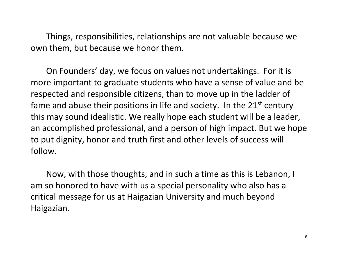Things, responsibilities, relationships are not valuable because we own them, but because we honor them.

On Founders' day, we focus on values not undertakings. For it is more important to graduate students who have a sense of value and be respected and responsible citizens, than to move up in the ladder of fame and abuse their positions in life and society. In the  $21<sup>st</sup>$  century this may sound idealistic. We really hope each student will be a leader, an accomplished professional, and a person of high impact. But we hope to put dignity, honor and truth first and other levels of success will follow.

Now, with those thoughts, and in such a time as this is Lebanon, I am so honored to have with us a special personality who also has a critical message for us at Haigazian University and much beyond Haigazian.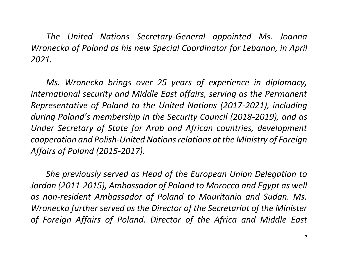*The United Nations Secretary-General appointed Ms. Joanna Wronecka of Poland as his new Special Coordinator for Lebanon, in April 2021.*

*Ms. Wronecka brings over 25 years of experience in diplomacy, international security and Middle East affairs, serving as the Permanent Representative of Poland to the United Nations (2017-2021), including during Poland's membership in the Security Council (2018-2019), and as Under Secretary of State for Arab and African countries, development cooperation and Polish-United Nations relations at the Ministry of Foreign Affairs of Poland (2015-2017).*

*She previously served as Head of the European Union Delegation to Jordan (2011-2015), Ambassador of Poland to Morocco and Egypt as well as non-resident Ambassador of Poland to Mauritania and Sudan. Ms. Wronecka further served as the Director of the Secretariat of the Minister of Foreign Affairs of Poland. Director of the Africa and Middle East*